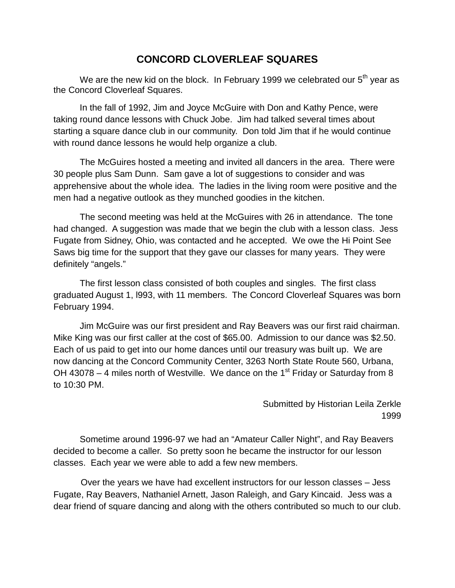## **CONCORD CLOVERLEAF SQUARES**

We are the new kid on the block. In February 1999 we celebrated our  $5<sup>th</sup>$  year as the Concord Cloverleaf Squares.

In the fall of 1992, Jim and Joyce McGuire with Don and Kathy Pence, were taking round dance lessons with Chuck Jobe. Jim had talked several times about starting a square dance club in our community. Don told Jim that if he would continue with round dance lessons he would help organize a club.

The McGuires hosted a meeting and invited all dancers in the area. There were 30 people plus Sam Dunn. Sam gave a lot of suggestions to consider and was apprehensive about the whole idea. The ladies in the living room were positive and the men had a negative outlook as they munched goodies in the kitchen.

The second meeting was held at the McGuires with 26 in attendance. The tone had changed. A suggestion was made that we begin the club with a lesson class. Jess Fugate from Sidney, Ohio, was contacted and he accepted. We owe the Hi Point See Saws big time for the support that they gave our classes for many years. They were definitely "angels."

The first lesson class consisted of both couples and singles. The first class graduated August 1, l993, with 11 members. The Concord Cloverleaf Squares was born February 1994.

Jim McGuire was our first president and Ray Beavers was our first raid chairman. Mike King was our first caller at the cost of \$65.00. Admission to our dance was \$2.50. Each of us paid to get into our home dances until our treasury was built up. We are now dancing at the Concord Community Center, 3263 North State Route 560, Urbana, OH 43078 – 4 miles north of Westville. We dance on the 1<sup>st</sup> Friday or Saturday from 8 to 10:30 PM.

> Submitted by Historian Leila Zerkle 1999

Sometime around 1996-97 we had an "Amateur Caller Night", and Ray Beavers decided to become a caller. So pretty soon he became the instructor for our lesson classes. Each year we were able to add a few new members.

 Over the years we have had excellent instructors for our lesson classes – Jess Fugate, Ray Beavers, Nathaniel Arnett, Jason Raleigh, and Gary Kincaid. Jess was a dear friend of square dancing and along with the others contributed so much to our club.